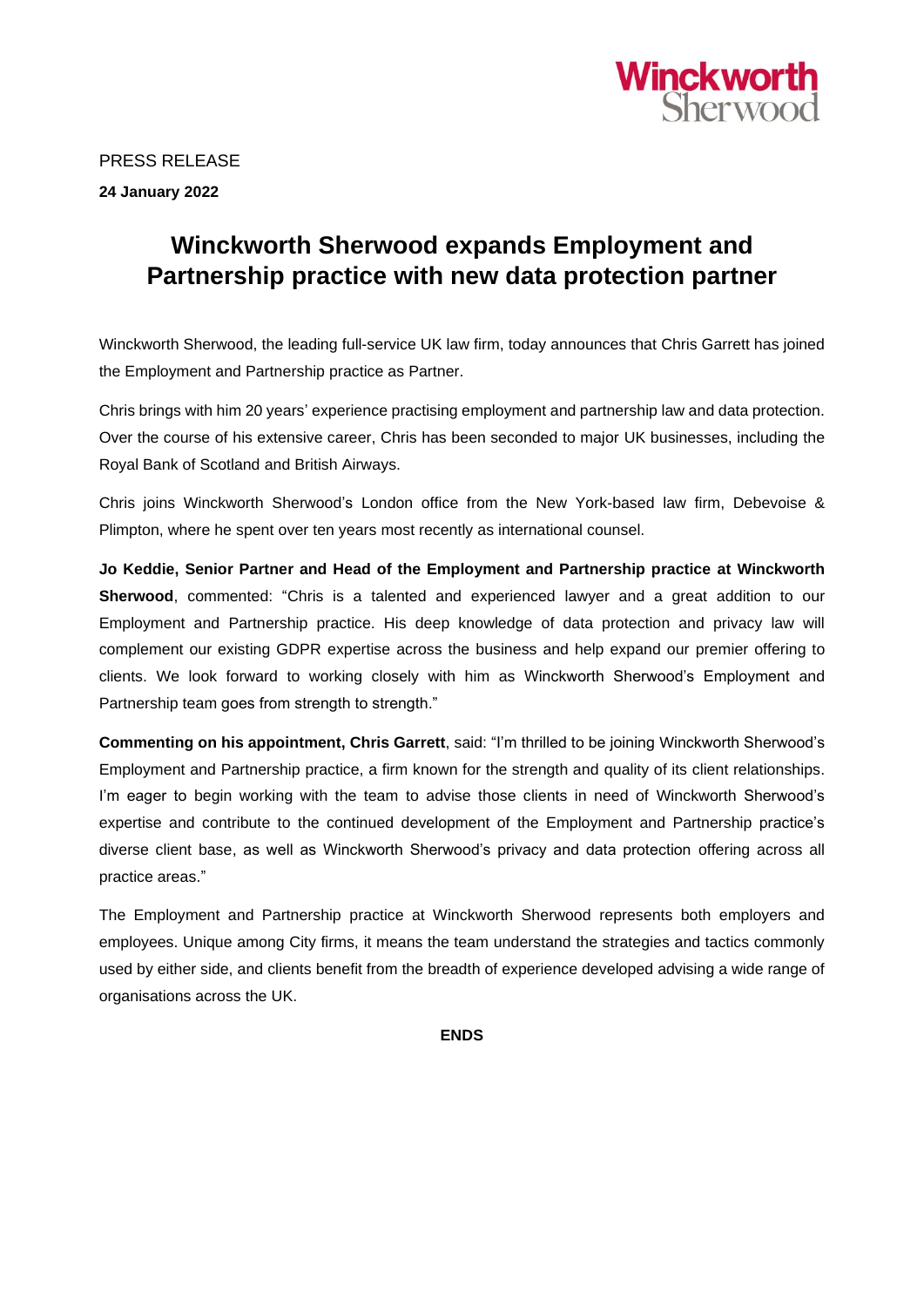

PRESS RELEASE **24 January 2022**

## **Winckworth Sherwood expands Employment and Partnership practice with new data protection partner**

Winckworth Sherwood, the leading full-service UK law firm, today announces that Chris Garrett has joined the Employment and Partnership practice as Partner.

Chris brings with him 20 years' experience practising employment and partnership law and data protection. Over the course of his extensive career, Chris has been seconded to major UK businesses, including the Royal Bank of Scotland and British Airways.

Chris joins Winckworth Sherwood's London office from the New York-based law firm, Debevoise & Plimpton, where he spent over ten years most recently as international counsel.

**Jo Keddie, Senior Partner and Head of the Employment and Partnership practice at Winckworth Sherwood**, commented: "Chris is a talented and experienced lawyer and a great addition to our Employment and Partnership practice. His deep knowledge of data protection and privacy law will complement our existing GDPR expertise across the business and help expand our premier offering to clients. We look forward to working closely with him as Winckworth Sherwood's Employment and Partnership team goes from strength to strength."

**Commenting on his appointment, Chris Garrett**, said: "I'm thrilled to be joining Winckworth Sherwood's Employment and Partnership practice, a firm known for the strength and quality of its client relationships. I'm eager to begin working with the team to advise those clients in need of Winckworth Sherwood's expertise and contribute to the continued development of the Employment and Partnership practice's diverse client base, as well as Winckworth Sherwood's privacy and data protection offering across all practice areas."

The Employment and Partnership practice at Winckworth Sherwood represents both employers and employees. Unique among City firms, it means the team understand the strategies and tactics commonly used by either side, and clients benefit from the breadth of experience developed advising a wide range of organisations across the UK.

**ENDS**